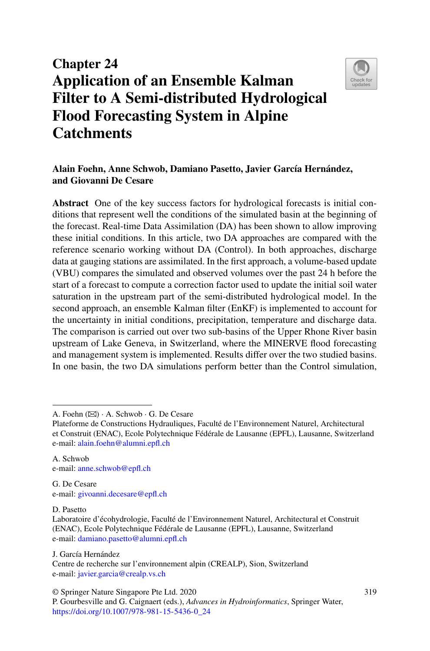# **Chapter 24 Application of an Ensemble Kalman Filter to A Semi-distributed Hydrological Flood Forecasting System in Alpine Catchments**



## **Alain Foehn, Anne Schwob, Damiano Pasetto, Javier García Hernández, and Giovanni De Cesare**

**Abstract** One of the key success factors for hydrological forecasts is initial conditions that represent well the conditions of the simulated basin at the beginning of the forecast. Real-time Data Assimilation (DA) has been shown to allow improving these initial conditions. In this article, two DA approaches are compared with the reference scenario working without DA (Control). In both approaches, discharge data at gauging stations are assimilated. In the first approach, a volume-based update (VBU) compares the simulated and observed volumes over the past 24 h before the start of a forecast to compute a correction factor used to update the initial soil water saturation in the upstream part of the semi-distributed hydrological model. In the second approach, an ensemble Kalman filter (EnKF) is implemented to account for the uncertainty in initial conditions, precipitation, temperature and discharge data. The comparison is carried out over two sub-basins of the Upper Rhone River basin upstream of Lake Geneva, in Switzerland, where the MINERVE flood forecasting and management system is implemented. Results differ over the two studied basins. In one basin, the two DA simulations perform better than the Control simulation,

A. Foehn ( $\boxtimes$ ) · A. Schwob · G. De Cesare

A. Schwob e-mail: [anne.schwob@epfl.ch](mailto:anne.schwob@epfl.ch)

G. De Cesare e-mail: [givoanni.decesare@epfl.ch](mailto:givoanni.decesare@epfl.ch)

D. Pasetto

J. García Hernández

Plateforme de Constructions Hydrauliques, Faculté de l'Environnement Naturel, Architectural et Construit (ENAC), Ecole Polytechnique Fédérale de Lausanne (EPFL), Lausanne, Switzerland e-mail: [alain.foehn@alumni.epfl.ch](mailto:alain.foehn@alumni.epfl.ch)

Laboratoire d'écohydrologie, Faculté de l'Environnement Naturel, Architectural et Construit (ENAC), Ecole Polytechnique Fédérale de Lausanne (EPFL), Lausanne, Switzerland e-mail: [damiano.pasetto@alumni.epfl.ch](mailto:damiano.pasetto@alumni.epfl.ch)

Centre de recherche sur l'environnement alpin (CREALP), Sion, Switzerland e-mail: [javier.garcia@crealp.vs.ch](mailto:javier.garcia@crealp.vs.ch)

<sup>©</sup> Springer Nature Singapore Pte Ltd. 2020

P. Gourbesville and G. Caignaert (eds.), *Advances in Hydroinformatics*, Springer Water, [https://doi.org/10.1007/978-981-15-5436-0\\_24](https://doi.org/10.1007/978-981-15-5436-0_24)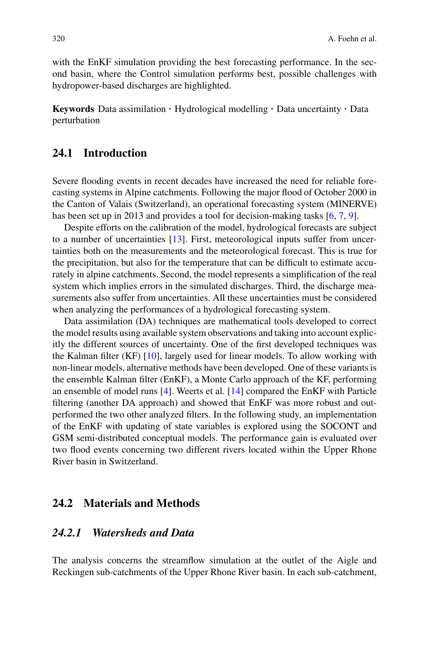with the EnKF simulation providing the best forecasting performance. In the second basin, where the Control simulation performs best, possible challenges with hydropower-based discharges are highlighted.

**Keywords** Data assimilation · Hydrological modelling · Data uncertainty · Data perturbation

# **24.1 Introduction**

Severe flooding events in recent decades have increased the need for reliable forecasting systems in Alpine catchments. Following the major flood of October 2000 in the Canton of Valais (Switzerland), an operational forecasting system (MINERVE) has been set up in 2013 and provides a tool for decision-making tasks [\[6,](#page-15-0) [7,](#page-15-1) [9\]](#page-15-2).

Despite efforts on the calibration of the model, hydrological forecasts are subject to a number of uncertainties [\[13\]](#page-15-3). First, meteorological inputs suffer from uncertainties both on the measurements and the meteorological forecast. This is true for the precipitation, but also for the temperature that can be difficult to estimate accurately in alpine catchments. Second, the model represents a simplification of the real system which implies errors in the simulated discharges. Third, the discharge measurements also suffer from uncertainties. All these uncertainties must be considered when analyzing the performances of a hydrological forecasting system.

Data assimilation (DA) techniques are mathematical tools developed to correct the model results using available system observations and taking into account explicitly the different sources of uncertainty. One of the first developed techniques was the Kalman filter (KF) [\[10\]](#page-15-4), largely used for linear models. To allow working with non-linear models, alternative methods have been developed. One of these variants is the ensemble Kalman filter (EnKF), a Monte Carlo approach of the KF, performing an ensemble of model runs [\[4\]](#page-15-5). Weerts et al. [\[14\]](#page-15-6) compared the EnKF with Particle filtering (another DA approach) and showed that EnKF was more robust and outperformed the two other analyzed filters. In the following study, an implementation of the EnKF with updating of state variables is explored using the SOCONT and GSM semi-distributed conceptual models. The performance gain is evaluated over two flood events concerning two different rivers located within the Upper Rhone River basin in Switzerland.

### **24.2 Materials and Methods**

## *24.2.1 Watersheds and Data*

The analysis concerns the streamflow simulation at the outlet of the Aigle and Reckingen sub-catchments of the Upper Rhone River basin. In each sub-catchment,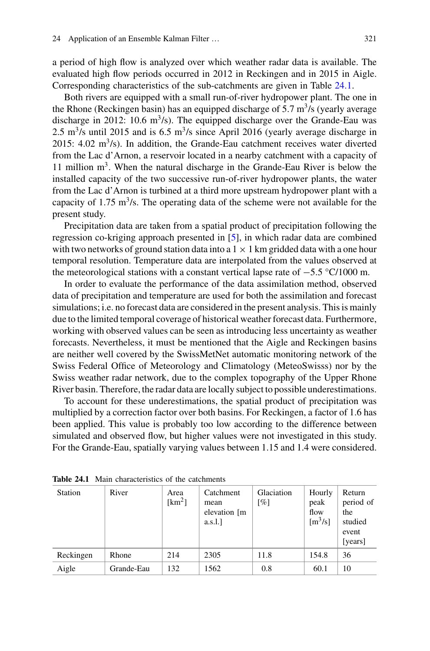a period of high flow is analyzed over which weather radar data is available. The evaluated high flow periods occurred in 2012 in Reckingen and in 2015 in Aigle. Corresponding characteristics of the sub-catchments are given in Table [24.1.](#page-2-0)

Both rivers are equipped with a small run-of-river hydropower plant. The one in the Rhone (Reckingen basin) has an equipped discharge of 5.7  $\text{m}^3$ /s (yearly average discharge in 2012: 10.6  $\text{m}^3$ /s). The equipped discharge over the Grande-Eau was 2.5 m<sup>3</sup>/s until 2015 and is 6.5 m<sup>3</sup>/s since April 2016 (yearly average discharge in 2015:  $4.02 \text{ m}^3/\text{s}$ ). In addition, the Grande-Eau catchment receives water diverted from the Lac d'Arnon, a reservoir located in a nearby catchment with a capacity of 11 million  $m<sup>3</sup>$ . When the natural discharge in the Grande-Eau River is below the installed capacity of the two successive run-of-river hydropower plants, the water from the Lac d'Arnon is turbined at a third more upstream hydropower plant with a capacity of 1.75 m<sup>3</sup>/s. The operating data of the scheme were not available for the present study.

Precipitation data are taken from a spatial product of precipitation following the regression co-kriging approach presented in [\[5\]](#page-15-7), in which radar data are combined with two networks of ground station data into a  $1 \times 1$  km gridded data with a one hour temporal resolution. Temperature data are interpolated from the values observed at the meteorological stations with a constant vertical lapse rate of  $-5.5 \text{ °C}/1000 \text{ m}$ .

In order to evaluate the performance of the data assimilation method, observed data of precipitation and temperature are used for both the assimilation and forecast simulations; i.e. no forecast data are considered in the present analysis. This is mainly due to the limited temporal coverage of historical weather forecast data. Furthermore, working with observed values can be seen as introducing less uncertainty as weather forecasts. Nevertheless, it must be mentioned that the Aigle and Reckingen basins are neither well covered by the SwissMetNet automatic monitoring network of the Swiss Federal Office of Meteorology and Climatology (MeteoSwisss) nor by the Swiss weather radar network, due to the complex topography of the Upper Rhone River basin. Therefore, the radar data are locally subject to possible underestimations.

To account for these underestimations, the spatial product of precipitation was multiplied by a correction factor over both basins. For Reckingen, a factor of 1.6 has been applied. This value is probably too low according to the difference between simulated and observed flow, but higher values were not investigated in this study. For the Grande-Eau, spatially varying values between 1.15 and 1.4 were considered.

| Station   | River      | Area<br>[km <sup>2</sup> ] | Catchment<br>mean<br>elevation [m<br>$a.s.l.$ ] | Glaciation<br>[%] | Hourly<br>peak<br>flow<br>$\left[\text{m}^3/\text{s}\right]$ | Return<br>period of<br>the<br>studied<br>event<br>[years] |
|-----------|------------|----------------------------|-------------------------------------------------|-------------------|--------------------------------------------------------------|-----------------------------------------------------------|
| Reckingen | Rhone      | 214                        | 2305                                            | 11.8              | 154.8                                                        | 36                                                        |
| Aigle     | Grande-Eau | 132                        | 1562                                            | 0.8               | 60.1                                                         | 10                                                        |

<span id="page-2-0"></span>**Table 24.1** Main characteristics of the catchments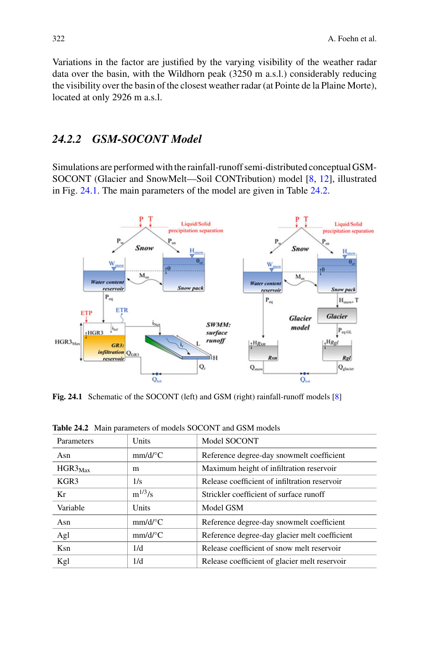Variations in the factor are justified by the varying visibility of the weather radar data over the basin, with the Wildhorn peak (3250 m a.s.l.) considerably reducing the visibility over the basin of the closest weather radar (at Pointe de la Plaine Morte), located at only 2926 m a.s.l.

# *24.2.2 GSM-SOCONT Model*

Simulations are performed with the rainfall-runoff semi-distributed conceptual GSM-SOCONT (Glacier and SnowMelt—Soil CONTribution) model [\[8,](#page-15-8) [12\]](#page-15-9), illustrated in Fig. [24.1.](#page-3-0) The main parameters of the model are given in Table [24.2.](#page-3-1)



<span id="page-3-0"></span>**Fig. 24.1** Schematic of the SOCONT (left) and GSM (right) rainfall-runoff models [\[8\]](#page-15-8)

| Parameters   | Units           | Model SOCONT                                  |  |
|--------------|-----------------|-----------------------------------------------|--|
| Asn          | mm/d/°C         | Reference degree-day snowmelt coefficient     |  |
| $HGR3_{Max}$ | m               | Maximum height of infiltration reservoir      |  |
| KGR3         | 1/s             | Release coefficient of infiltration reservoir |  |
| Kr           | $\rm m^{1/3}/s$ | Strickler coefficient of surface runoff       |  |
| Variable     | Units           | Model GSM                                     |  |
| Asn          | mm/d/°C         | Reference degree-day snowmelt coefficient     |  |
| Agl          | mm/d/°C         | Reference degree-day glacier melt coefficient |  |
| Ksn          | 1/d             | Release coefficient of snow melt reservoir    |  |
| Kgl          | 1/d             | Release coefficient of glacier melt reservoir |  |

<span id="page-3-1"></span>**Table 24.2** Main parameters of models SOCONT and GSM models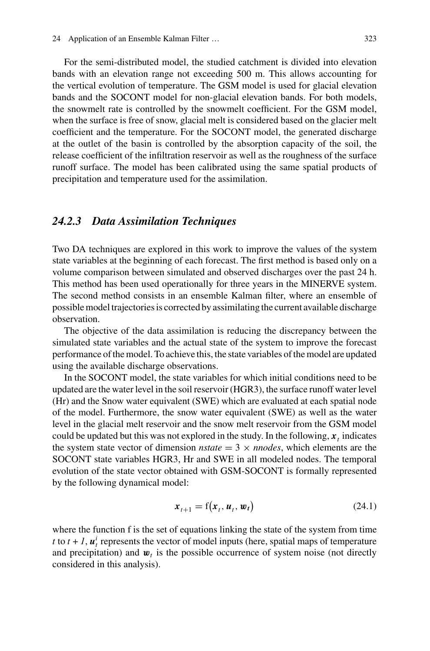For the semi-distributed model, the studied catchment is divided into elevation bands with an elevation range not exceeding 500 m. This allows accounting for the vertical evolution of temperature. The GSM model is used for glacial elevation bands and the SOCONT model for non-glacial elevation bands. For both models, the snowmelt rate is controlled by the snowmelt coefficient. For the GSM model, when the surface is free of snow, glacial melt is considered based on the glacier melt coefficient and the temperature. For the SOCONT model, the generated discharge at the outlet of the basin is controlled by the absorption capacity of the soil, the release coefficient of the infiltration reservoir as well as the roughness of the surface runoff surface. The model has been calibrated using the same spatial products of precipitation and temperature used for the assimilation.

#### *24.2.3 Data Assimilation Techniques*

Two DA techniques are explored in this work to improve the values of the system state variables at the beginning of each forecast. The first method is based only on a volume comparison between simulated and observed discharges over the past 24 h. This method has been used operationally for three years in the MINERVE system. The second method consists in an ensemble Kalman filter, where an ensemble of possible model trajectories is corrected by assimilating the current available discharge observation.

The objective of the data assimilation is reducing the discrepancy between the simulated state variables and the actual state of the system to improve the forecast performance of the model. To achieve this, the state variables of the model are updated using the available discharge observations.

In the SOCONT model, the state variables for which initial conditions need to be updated are the water level in the soil reservoir (HGR3), the surface runoff water level (Hr) and the Snow water equivalent (SWE) which are evaluated at each spatial node of the model. Furthermore, the snow water equivalent (SWE) as well as the water level in the glacial melt reservoir and the snow melt reservoir from the GSM model could be updated but this was not explored in the study. In the following,  $x<sub>t</sub>$  indicates the system state vector of dimension *nstate*  $= 3 \times$  *nnodes*, which elements are the SOCONT state variables HGR3, Hr and SWE in all modeled nodes. The temporal evolution of the state vector obtained with GSM-SOCONT is formally represented by the following dynamical model:

<span id="page-4-0"></span>
$$
\boldsymbol{x}_{t+1} = \mathbf{f}(\boldsymbol{x}_t, \boldsymbol{u}_t, \boldsymbol{w}_t) \tag{24.1}
$$

where the function f is the set of equations linking the state of the system from time *t* to  $t + 1$ ,  $\mathbf{u}_t^i$  represents the vector of model inputs (here, spatial maps of temperature and precipitation) and  $w_t$  is the possible occurrence of system noise (not directly considered in this analysis).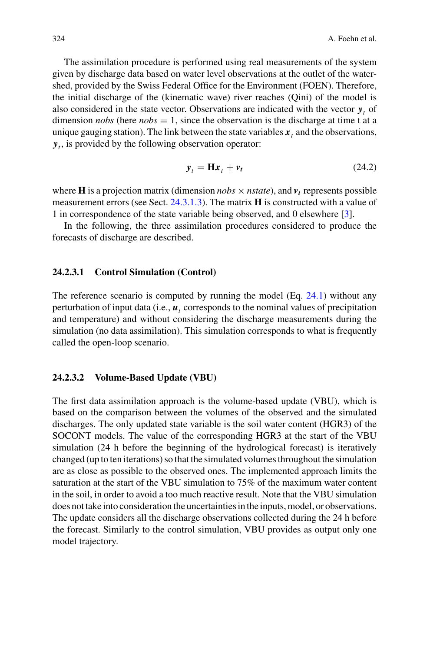The assimilation procedure is performed using real measurements of the system given by discharge data based on water level observations at the outlet of the watershed, provided by the Swiss Federal Office for the Environment (FOEN). Therefore, the initial discharge of the (kinematic wave) river reaches (Qini) of the model is also considered in the state vector. Observations are indicated with the vector *y<sup>t</sup>* of dimension *nobs* (here  $nobs = 1$ , since the observation is the discharge at time t at a unique gauging station). The link between the state variables  $x<sub>t</sub>$  and the observations, *y<sup>t</sup>* , is provided by the following observation operator:

<span id="page-5-0"></span>
$$
\mathbf{y}_t = \mathbf{H}\mathbf{x}_t + \mathbf{v}_t \tag{24.2}
$$

where **H** is a projection matrix (dimension *nobs*  $\times$  *nstate*), and  $v_t$  represents possible measurement errors (see Sect. [24.3.1.3\)](#page-9-0). The matrix **H** is constructed with a value of 1 in correspondence of the state variable being observed, and 0 elsewhere [\[3\]](#page-15-10).

In the following, the three assimilation procedures considered to produce the forecasts of discharge are described.

#### **24.2.3.1 Control Simulation (Control)**

The reference scenario is computed by running the model (Eq. [24.1\)](#page-4-0) without any perturbation of input data (i.e., *u<sup>t</sup>* corresponds to the nominal values of precipitation and temperature) and without considering the discharge measurements during the simulation (no data assimilation). This simulation corresponds to what is frequently called the open-loop scenario.

#### **24.2.3.2 Volume-Based Update (VBU)**

The first data assimilation approach is the volume-based update (VBU), which is based on the comparison between the volumes of the observed and the simulated discharges. The only updated state variable is the soil water content (HGR3) of the SOCONT models. The value of the corresponding HGR3 at the start of the VBU simulation (24 h before the beginning of the hydrological forecast) is iteratively changed (up to ten iterations) so that the simulated volumes throughout the simulation are as close as possible to the observed ones. The implemented approach limits the saturation at the start of the VBU simulation to 75% of the maximum water content in the soil, in order to avoid a too much reactive result. Note that the VBU simulation does not take into consideration the uncertainties in the inputs, model, or observations. The update considers all the discharge observations collected during the 24 h before the forecast. Similarly to the control simulation, VBU provides as output only one model trajectory.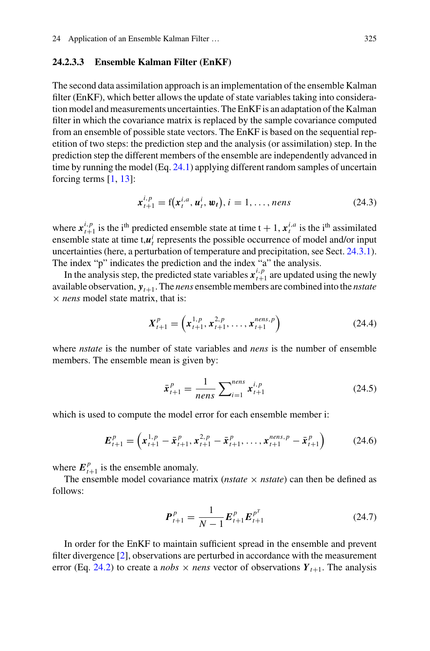#### **24.2.3.3 Ensemble Kalman Filter (EnKF)**

The second data assimilation approach is an implementation of the ensemble Kalman filter (EnKF), which better allows the update of state variables taking into consideration model and measurements uncertainties. The EnKF is an adaptation of the Kalman filter in which the covariance matrix is replaced by the sample covariance computed from an ensemble of possible state vectors. The EnKF is based on the sequential repetition of two steps: the prediction step and the analysis (or assimilation) step. In the prediction step the different members of the ensemble are independently advanced in time by running the model (Eq. [24.1\)](#page-4-0) applying different random samples of uncertain forcing terms  $[1, 13]$  $[1, 13]$  $[1, 13]$ :

$$
\mathbf{x}_{t+1}^{i,p} = f(\mathbf{x}_t^{i,a}, \mathbf{u}_t^i, \mathbf{w}_t), i = 1, \dots, nens
$$
 (24.3)

where  $\mathbf{x}_{t+1}^{i,p}$  is the i<sup>th</sup> predicted ensemble state at time  $t + 1$ ,  $\mathbf{x}_t^{i,a}$  is the i<sup>th</sup> assimilated ensemble state at time  $t, u^i$  represents the possible occurrence of model and/or input uncertainties (here, a perturbation of temperature and precipitation, see Sect. [24.3.1\)](#page-7-0). The index "p" indicates the prediction and the index "a" the analysis.

In the analysis step, the predicted state variables  $x_{t+1}^{i,p}$  are updated using the newly available observation,  $y_{t+1}$ . The *nens* ensemble members are combined into the *nstate* × *nens* model state matrix, that is:

$$
X_{t+1}^p = \left(x_{t+1}^{1,p}, x_{t+1}^{2,p}, \dots, x_{t+1}^{nens,p}\right)
$$
 (24.4)

where *nstate* is the number of state variables and *nens* is the number of ensemble members. The ensemble mean is given by:

$$
\bar{x}_{t+1}^p = \frac{1}{nens} \sum_{i=1}^{nens} x_{t+1}^{i,p}
$$
 (24.5)

which is used to compute the model error for each ensemble member i:

$$
\boldsymbol{E}_{t+1}^{p} = \left(\boldsymbol{x}_{t+1}^{1,p} - \bar{\boldsymbol{x}}_{t+1}^{p}, \boldsymbol{x}_{t+1}^{2,p} - \bar{\boldsymbol{x}}_{t+1}^{p}, \dots, \boldsymbol{x}_{t+1}^{nens, p} - \bar{\boldsymbol{x}}_{t+1}^{p}\right)
$$
(24.6)

where  $E_{t+1}^p$  is the ensemble anomaly.

The ensemble model covariance matrix (*nstate*  $\times$  *nstate*) can then be defined as follows:

$$
P_{t+1}^p = \frac{1}{N-1} E_{t+1}^p E_{t+1}^{p^T}
$$
 (24.7)

In order for the EnKF to maintain sufficient spread in the ensemble and prevent filter divergence [\[2\]](#page-15-12), observations are perturbed in accordance with the measurement error (Eq. [24.2\)](#page-5-0) to create a *nobs*  $\times$  *nens* vector of observations  $Y_{t+1}$ . The analysis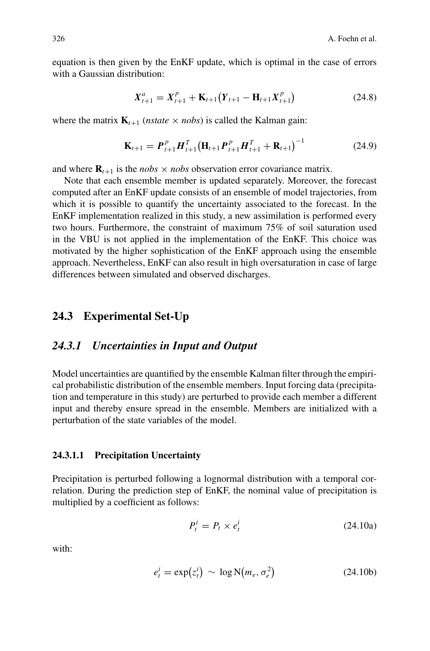equation is then given by the EnKF update, which is optimal in the case of errors with a Gaussian distribution:

$$
X_{t+1}^a = X_{t+1}^p + \mathbf{K}_{t+1} (Y_{t+1} - \mathbf{H}_{t+1} X_{t+1}^p)
$$
 (24.8)

where the matrix  $\mathbf{K}_{t+1}$  (*nstate*  $\times$  *nobs*) is called the Kalman gain:

$$
\mathbf{K}_{t+1} = \boldsymbol{P}_{t+1}^p \boldsymbol{H}_{t+1}^T \big( \mathbf{H}_{t+1} \boldsymbol{P}_{t+1}^p \boldsymbol{H}_{t+1}^T + \mathbf{R}_{t+1} \big)^{-1} \tag{24.9}
$$

and where  $\mathbf{R}_{t+1}$  is the *nobs*  $\times$  *nobs* observation error covariance matrix.

Note that each ensemble member is updated separately. Moreover, the forecast computed after an EnKF update consists of an ensemble of model trajectories, from which it is possible to quantify the uncertainty associated to the forecast. In the EnKF implementation realized in this study, a new assimilation is performed every two hours. Furthermore, the constraint of maximum 75% of soil saturation used in the VBU is not applied in the implementation of the EnKF. This choice was motivated by the higher sophistication of the EnKF approach using the ensemble approach. Nevertheless, EnKF can also result in high oversaturation in case of large differences between simulated and observed discharges.

## **24.3 Experimental Set-Up**

#### <span id="page-7-0"></span>*24.3.1 Uncertainties in Input and Output*

Model uncertainties are quantified by the ensemble Kalman filter through the empirical probabilistic distribution of the ensemble members. Input forcing data (precipitation and temperature in this study) are perturbed to provide each member a different input and thereby ensure spread in the ensemble. Members are initialized with a perturbation of the state variables of the model.

#### **24.3.1.1 Precipitation Uncertainty**

Precipitation is perturbed following a lognormal distribution with a temporal correlation. During the prediction step of EnKF, the nominal value of precipitation is multiplied by a coefficient as follows:

$$
P_t^i = P_t \times e_t^i \tag{24.10a}
$$

with:

$$
e_t^i = \exp(z_t^i) \sim \log N(m_e, \sigma_e^2)
$$
 (24.10b)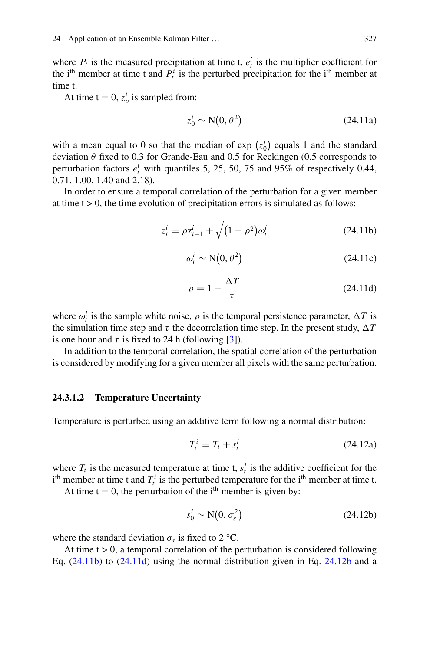where  $P_t$  is the measured precipitation at time t,  $e_t^i$  is the multiplier coefficient for the  $i<sup>th</sup>$  member at time t and  $P_t^i$  is the perturbed precipitation for the  $i<sup>th</sup>$  member at time t.

At time  $t = 0$ ,  $z^i$  is sampled from:

$$
z_0^i \sim \mathcal{N}(0, \theta^2) \tag{24.11a}
$$

with a mean equal to 0 so that the median of  $exp(z_0^i)$  equals 1 and the standard deviation  $\theta$  fixed to 0.3 for Grande-Eau and 0.5 for Reckingen (0.5 corresponds to perturbation factors  $e_t^i$  with quantiles 5, 25, 50, 75 and 95% of respectively 0.44, 0.71, 1.00, 1,40 and 2.18).

In order to ensure a temporal correlation of the perturbation for a given member at time  $t > 0$ , the time evolution of precipitation errors is simulated as follows:

$$
z_t^i = \rho z_{t-1}^i + \sqrt{(1 - \rho^2)} \omega_t^i
$$
 (24.11b)

<span id="page-8-0"></span>
$$
\omega_t^i \sim \mathcal{N}(0, \theta^2) \tag{24.11c}
$$

<span id="page-8-1"></span>
$$
\rho = 1 - \frac{\Delta T}{\tau} \tag{24.11d}
$$

where  $\omega_t^i$  is the sample white noise,  $\rho$  is the temporal persistence parameter,  $\Delta T$  is the simulation time step and  $\tau$  the decorrelation time step. In the present study,  $\Delta T$ is one hour and  $\tau$  is fixed to 24 h (following [\[3\]](#page-15-10)).

In addition to the temporal correlation, the spatial correlation of the perturbation is considered by modifying for a given member all pixels with the same perturbation.

#### **24.3.1.2 Temperature Uncertainty**

Temperature is perturbed using an additive term following a normal distribution:

$$
T_t^i = T_t + s_t^i \tag{24.12a}
$$

where  $T_t$  is the measured temperature at time t,  $s_t^i$  is the additive coefficient for the  $i<sup>th</sup>$  member at time t and  $T<sub>t</sub><sup>i</sup>$  is the perturbed temperature for the  $i<sup>th</sup>$  member at time t.

At time  $t = 0$ , the perturbation of the i<sup>th</sup> member is given by:

<span id="page-8-2"></span>
$$
s_0^i \sim \mathcal{N}\big(0, \sigma_s^2\big) \tag{24.12b}
$$

where the standard deviation  $\sigma_s$  is fixed to 2 °C.

At time  $t > 0$ , a temporal correlation of the perturbation is considered following Eq. [\(24.11b\)](#page-8-0) to [\(24.11d\)](#page-8-1) using the normal distribution given in Eq. [24.12b](#page-8-2) and a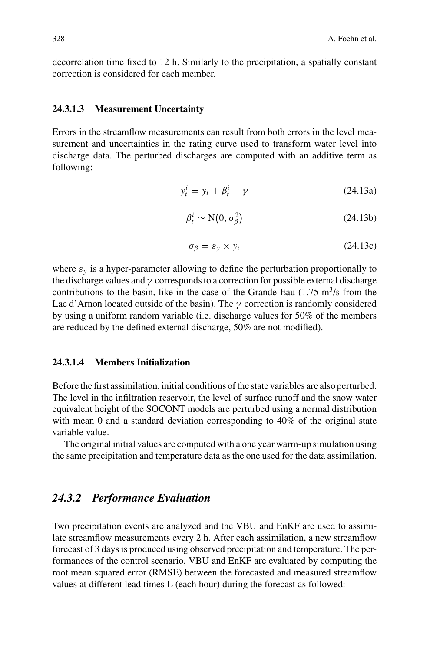decorrelation time fixed to 12 h. Similarly to the precipitation, a spatially constant correction is considered for each member.

#### <span id="page-9-0"></span>**24.3.1.3 Measurement Uncertainty**

Errors in the streamflow measurements can result from both errors in the level measurement and uncertainties in the rating curve used to transform water level into discharge data. The perturbed discharges are computed with an additive term as following:

$$
y_t^i = y_t + \beta_t^i - \gamma \tag{24.13a}
$$

$$
\beta_t^i \sim \mathcal{N}\big(0, \sigma_\beta^2\big) \tag{24.13b}
$$

$$
\sigma_{\beta} = \varepsilon_{y} \times y_{t} \tag{24.13c}
$$

where  $\varepsilon$ <sub>y</sub> is a hyper-parameter allowing to define the perturbation proportionally to the discharge values and  $\nu$  corresponds to a correction for possible external discharge contributions to the basin, like in the case of the Grande-Eau  $(1.75 \text{ m}^3/\text{s}$  from the Lac d'Arnon located outside of the basin). The  $\gamma$  correction is randomly considered by using a uniform random variable (i.e. discharge values for 50% of the members are reduced by the defined external discharge, 50% are not modified).

#### **24.3.1.4 Members Initialization**

Before the first assimilation, initial conditions of the state variables are also perturbed. The level in the infiltration reservoir, the level of surface runoff and the snow water equivalent height of the SOCONT models are perturbed using a normal distribution with mean 0 and a standard deviation corresponding to 40% of the original state variable value.

The original initial values are computed with a one year warm-up simulation using the same precipitation and temperature data as the one used for the data assimilation.

# *24.3.2 Performance Evaluation*

Two precipitation events are analyzed and the VBU and EnKF are used to assimilate streamflow measurements every 2 h. After each assimilation, a new streamflow forecast of 3 days is produced using observed precipitation and temperature. The performances of the control scenario, VBU and EnKF are evaluated by computing the root mean squared error (RMSE) between the forecasted and measured streamflow values at different lead times L (each hour) during the forecast as followed: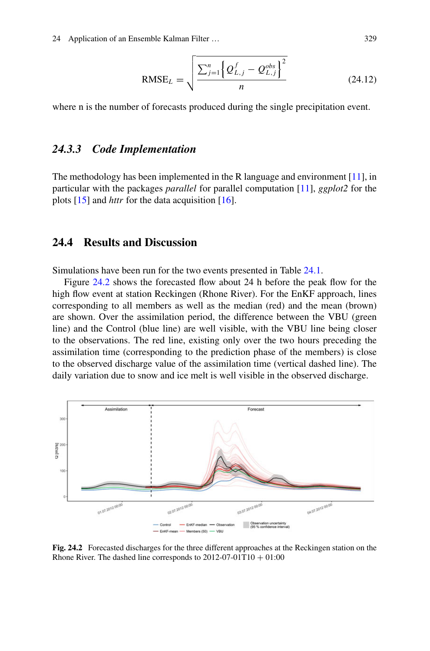RMSE<sub>L</sub> = 
$$
\sqrt{\frac{\sum_{j=1}^{n} \left\{ Q_{L,j}^{f} - Q_{L,j}^{obs} \right\}^{2}}{n}}
$$
 (24.12)

where n is the number of forecasts produced during the single precipitation event.

#### *24.3.3 Code Implementation*

The methodology has been implemented in the R language and environment [\[11\]](#page-15-13), in particular with the packages *parallel* for parallel computation [\[11\]](#page-15-13), *ggplot2* for the plots [\[15\]](#page-15-14) and *httr* for the data acquisition [\[16\]](#page-15-15).

### **24.4 Results and Discussion**

Simulations have been run for the two events presented in Table [24.1.](#page-2-0)

Figure [24.2](#page-10-0) shows the forecasted flow about 24 h before the peak flow for the high flow event at station Reckingen (Rhone River). For the EnKF approach, lines corresponding to all members as well as the median (red) and the mean (brown) are shown. Over the assimilation period, the difference between the VBU (green line) and the Control (blue line) are well visible, with the VBU line being closer to the observations. The red line, existing only over the two hours preceding the assimilation time (corresponding to the prediction phase of the members) is close to the observed discharge value of the assimilation time (vertical dashed line). The daily variation due to snow and ice melt is well visible in the observed discharge.



<span id="page-10-0"></span>**Fig. 24.2** Forecasted discharges for the three different approaches at the Reckingen station on the Rhone River. The dashed line corresponds to  $2012-07-01T10 + 01:00$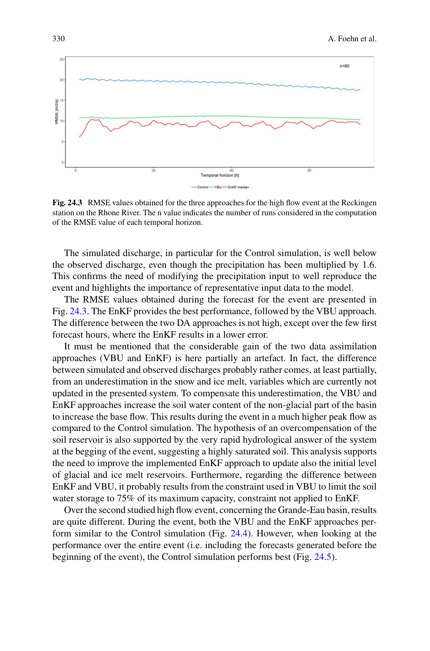

<span id="page-11-0"></span>**Fig. 24.3** RMSE values obtained for the three approaches for the high flow event at the Reckingen station on the Rhone River. The n value indicates the number of runs considered in the computation of the RMSE value of each temporal horizon.

The simulated discharge, in particular for the Control simulation, is well below the observed discharge, even though the precipitation has been multiplied by 1.6. This confirms the need of modifying the precipitation input to well reproduce the event and highlights the importance of representative input data to the model.

The RMSE values obtained during the forecast for the event are presented in Fig. [24.3.](#page-11-0) The EnKF provides the best performance, followed by the VBU approach. The difference between the two DA approaches is not high, except over the few first forecast hours, where the EnKF results in a lower error.

It must be mentioned that the considerable gain of the two data assimilation approaches (VBU and EnKF) is here partially an artefact. In fact, the difference between simulated and observed discharges probably rather comes, at least partially, from an underestimation in the snow and ice melt, variables which are currently not updated in the presented system. To compensate this underestimation, the VBU and EnKF approaches increase the soil water content of the non-glacial part of the basin to increase the base flow. This results during the event in a much higher peak flow as compared to the Control simulation. The hypothesis of an overcompensation of the soil reservoir is also supported by the very rapid hydrological answer of the system at the begging of the event, suggesting a highly saturated soil. This analysis supports the need to improve the implemented EnKF approach to update also the initial level of glacial and ice melt reservoirs. Furthermore, regarding the difference between EnKF and VBU, it probably results from the constraint used in VBU to limit the soil water storage to 75% of its maximum capacity, constraint not applied to EnKF.

Over the second studied high flow event, concerning the Grande-Eau basin, results are quite different. During the event, both the VBU and the EnKF approaches perform similar to the Control simulation (Fig. [24.4\)](#page-12-0). However, when looking at the performance over the entire event (i.e. including the forecasts generated before the beginning of the event), the Control simulation performs best (Fig. [24.5\)](#page-12-1).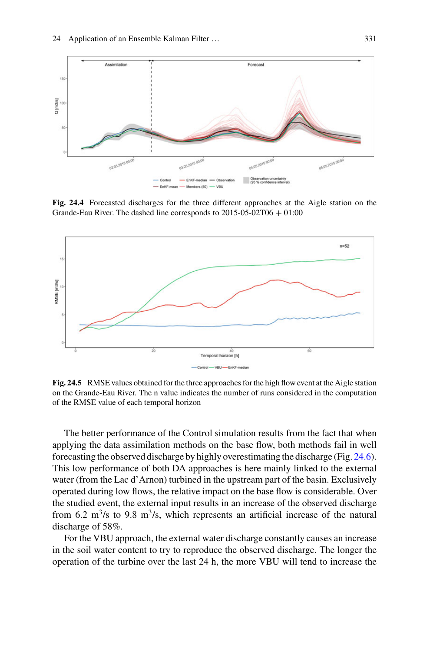

<span id="page-12-0"></span>**Fig. 24.4** Forecasted discharges for the three different approaches at the Aigle station on the Grande-Eau River. The dashed line corresponds to 2015-05-02T06 + 01:00



<span id="page-12-1"></span>**Fig. 24.5** RMSE values obtained for the three approaches for the high flow event at the Aigle station on the Grande-Eau River. The n value indicates the number of runs considered in the computation of the RMSE value of each temporal horizon

The better performance of the Control simulation results from the fact that when applying the data assimilation methods on the base flow, both methods fail in well forecasting the observed discharge by highly overestimating the discharge (Fig. [24.6\)](#page-13-0). This low performance of both DA approaches is here mainly linked to the external water (from the Lac d'Arnon) turbined in the upstream part of the basin. Exclusively operated during low flows, the relative impact on the base flow is considerable. Over the studied event, the external input results in an increase of the observed discharge from 6.2 m<sup>3</sup>/s to 9.8 m<sup>3</sup>/s, which represents an artificial increase of the natural discharge of 58%.

For the VBU approach, the external water discharge constantly causes an increase in the soil water content to try to reproduce the observed discharge. The longer the operation of the turbine over the last 24 h, the more VBU will tend to increase the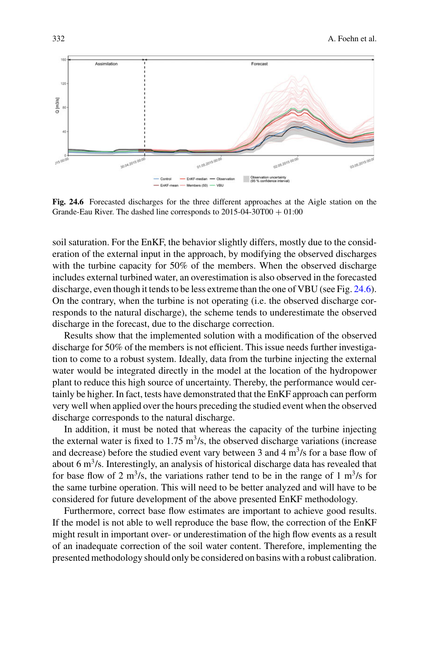

<span id="page-13-0"></span>**Fig. 24.6** Forecasted discharges for the three different approaches at the Aigle station on the Grande-Eau River. The dashed line corresponds to  $2015-04-30T00 + 01:00$ 

soil saturation. For the EnKF, the behavior slightly differs, mostly due to the consideration of the external input in the approach, by modifying the observed discharges with the turbine capacity for 50% of the members. When the observed discharge includes external turbined water, an overestimation is also observed in the forecasted discharge, even though it tends to be less extreme than the one of VBU (see Fig. [24.6\)](#page-13-0). On the contrary, when the turbine is not operating (i.e. the observed discharge corresponds to the natural discharge), the scheme tends to underestimate the observed discharge in the forecast, due to the discharge correction.

Results show that the implemented solution with a modification of the observed discharge for 50% of the members is not efficient. This issue needs further investigation to come to a robust system. Ideally, data from the turbine injecting the external water would be integrated directly in the model at the location of the hydropower plant to reduce this high source of uncertainty. Thereby, the performance would certainly be higher. In fact, tests have demonstrated that the EnKF approach can perform very well when applied over the hours preceding the studied event when the observed discharge corresponds to the natural discharge.

In addition, it must be noted that whereas the capacity of the turbine injecting the external water is fixed to  $1.75 \text{ m}^3$ /s, the observed discharge variations (increase and decrease) before the studied event vary between 3 and 4  $\text{m}^3\text{/s}$  for a base flow of about 6  $\mathrm{m}^3$ /s. Interestingly, an analysis of historical discharge data has revealed that for base flow of 2 m<sup>3</sup>/s, the variations rather tend to be in the range of 1 m<sup>3</sup>/s for the same turbine operation. This will need to be better analyzed and will have to be considered for future development of the above presented EnKF methodology.

Furthermore, correct base flow estimates are important to achieve good results. If the model is not able to well reproduce the base flow, the correction of the EnKF might result in important over- or underestimation of the high flow events as a result of an inadequate correction of the soil water content. Therefore, implementing the presented methodology should only be considered on basins with a robust calibration.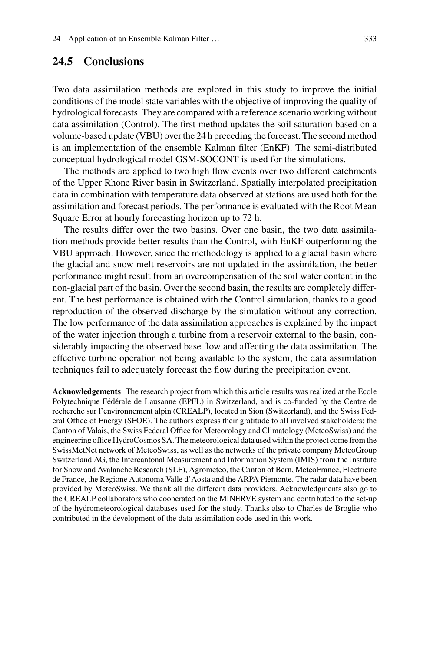# **24.5 Conclusions**

Two data assimilation methods are explored in this study to improve the initial conditions of the model state variables with the objective of improving the quality of hydrological forecasts. They are compared with a reference scenario working without data assimilation (Control). The first method updates the soil saturation based on a volume-based update (VBU) over the 24 h preceding the forecast. The second method is an implementation of the ensemble Kalman filter (EnKF). The semi-distributed conceptual hydrological model GSM-SOCONT is used for the simulations.

The methods are applied to two high flow events over two different catchments of the Upper Rhone River basin in Switzerland. Spatially interpolated precipitation data in combination with temperature data observed at stations are used both for the assimilation and forecast periods. The performance is evaluated with the Root Mean Square Error at hourly forecasting horizon up to 72 h.

The results differ over the two basins. Over one basin, the two data assimilation methods provide better results than the Control, with EnKF outperforming the VBU approach. However, since the methodology is applied to a glacial basin where the glacial and snow melt reservoirs are not updated in the assimilation, the better performance might result from an overcompensation of the soil water content in the non-glacial part of the basin. Over the second basin, the results are completely different. The best performance is obtained with the Control simulation, thanks to a good reproduction of the observed discharge by the simulation without any correction. The low performance of the data assimilation approaches is explained by the impact of the water injection through a turbine from a reservoir external to the basin, considerably impacting the observed base flow and affecting the data assimilation. The effective turbine operation not being available to the system, the data assimilation techniques fail to adequately forecast the flow during the precipitation event.

**Acknowledgements** The research project from which this article results was realized at the Ecole Polytechnique Fédérale de Lausanne (EPFL) in Switzerland, and is co-funded by the Centre de recherche sur l'environnement alpin (CREALP), located in Sion (Switzerland), and the Swiss Federal Office of Energy (SFOE). The authors express their gratitude to all involved stakeholders: the Canton of Valais, the Swiss Federal Office for Meteorology and Climatology (MeteoSwiss) and the engineering office HydroCosmos SA. The meteorological data used within the project come from the SwissMetNet network of MeteoSwiss, as well as the networks of the private company MeteoGroup Switzerland AG, the Intercantonal Measurement and Information System (IMIS) from the Institute for Snow and Avalanche Research (SLF), Agrometeo, the Canton of Bern, MeteoFrance, Electricite de France, the Regione Autonoma Valle d'Aosta and the ARPA Piemonte. The radar data have been provided by MeteoSwiss. We thank all the different data providers. Acknowledgments also go to the CREALP collaborators who cooperated on the MINERVE system and contributed to the set-up of the hydrometeorological databases used for the study. Thanks also to Charles de Broglie who contributed in the development of the data assimilation code used in this work.